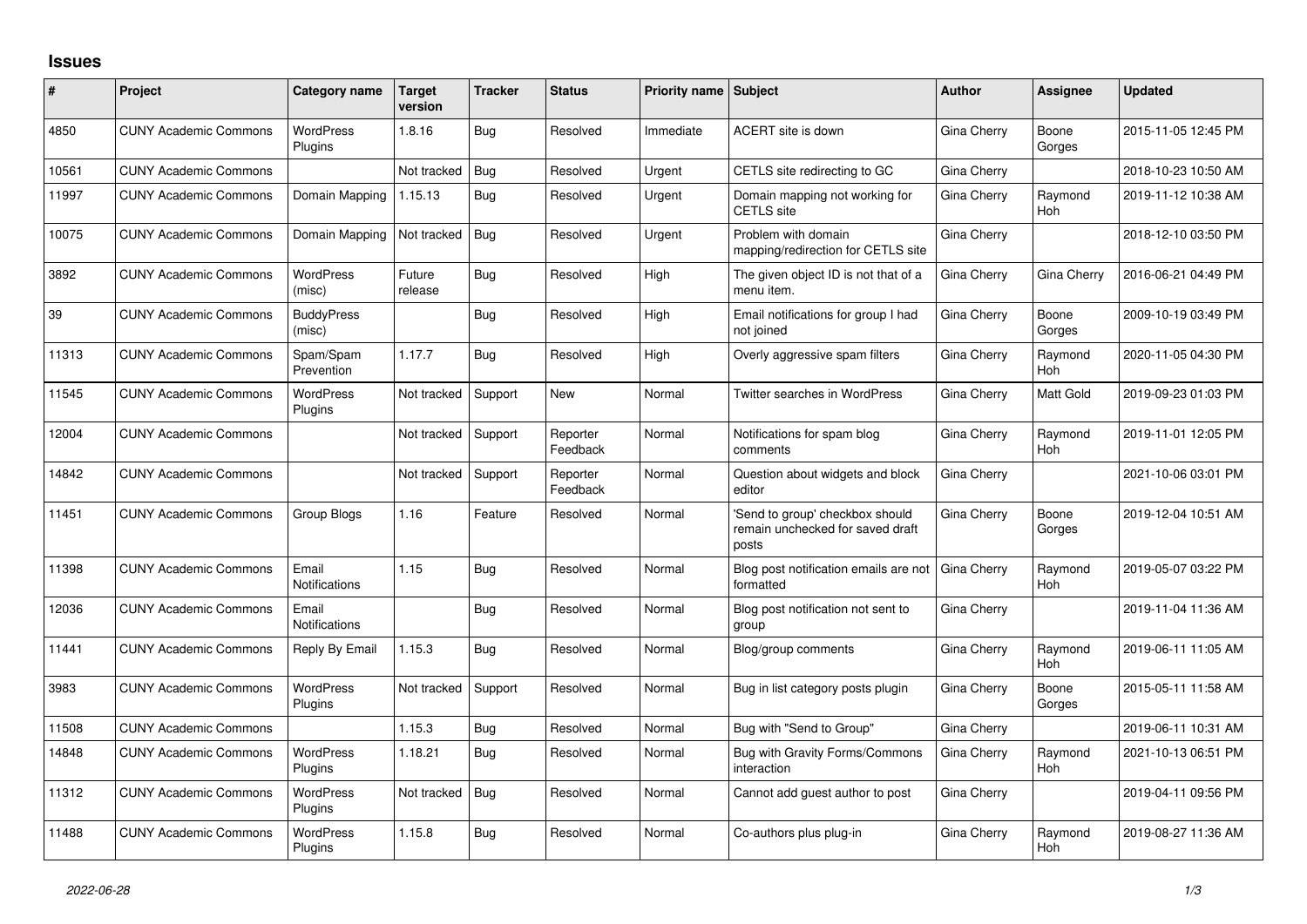## **Issues**

| #     | Project                      | Category name                 | Target<br>version | <b>Tracker</b> | <b>Status</b>        | <b>Priority name Subject</b> |                                                                              | <b>Author</b> | Assignee              | <b>Updated</b>      |
|-------|------------------------------|-------------------------------|-------------------|----------------|----------------------|------------------------------|------------------------------------------------------------------------------|---------------|-----------------------|---------------------|
| 4850  | <b>CUNY Academic Commons</b> | <b>WordPress</b><br>Plugins   | 1.8.16            | Bug            | Resolved             | Immediate                    | ACERT site is down                                                           | Gina Cherry   | Boone<br>Gorges       | 2015-11-05 12:45 PM |
| 10561 | <b>CUNY Academic Commons</b> |                               | Not tracked       | Bug            | Resolved             | Urgent                       | CETLS site redirecting to GC                                                 | Gina Cherry   |                       | 2018-10-23 10:50 AM |
| 11997 | <b>CUNY Academic Commons</b> | Domain Mapping                | 1.15.13           | Bug            | Resolved             | Urgent                       | Domain mapping not working for<br><b>CETLS</b> site                          | Gina Cherry   | Raymond<br><b>Hoh</b> | 2019-11-12 10:38 AM |
| 10075 | <b>CUNY Academic Commons</b> | Domain Mapping                | Not tracked       | Bug            | Resolved             | Urgent                       | Problem with domain<br>mapping/redirection for CETLS site                    | Gina Cherry   |                       | 2018-12-10 03:50 PM |
| 3892  | <b>CUNY Academic Commons</b> | <b>WordPress</b><br>(misc)    | Future<br>release | Bug            | Resolved             | High                         | The given object ID is not that of a<br>menu item.                           | Gina Cherry   | Gina Cherry           | 2016-06-21 04:49 PM |
| 39    | <b>CUNY Academic Commons</b> | <b>BuddyPress</b><br>(misc)   |                   | <b>Bug</b>     | Resolved             | High                         | Email notifications for group I had<br>not joined                            | Gina Cherry   | Boone<br>Gorges       | 2009-10-19 03:49 PM |
| 11313 | <b>CUNY Academic Commons</b> | Spam/Spam<br>Prevention       | 1.17.7            | Bug            | Resolved             | High                         | Overly aggressive spam filters                                               | Gina Cherry   | Raymond<br>Hoh        | 2020-11-05 04:30 PM |
| 11545 | <b>CUNY Academic Commons</b> | <b>WordPress</b><br>Plugins   | Not tracked       | Support        | New                  | Normal                       | Twitter searches in WordPress                                                | Gina Cherry   | Matt Gold             | 2019-09-23 01:03 PM |
| 12004 | <b>CUNY Academic Commons</b> |                               | Not tracked       | Support        | Reporter<br>Feedback | Normal                       | Notifications for spam blog<br>comments                                      | Gina Cherry   | Raymond<br>Hoh        | 2019-11-01 12:05 PM |
| 14842 | <b>CUNY Academic Commons</b> |                               | Not tracked       | Support        | Reporter<br>Feedback | Normal                       | Question about widgets and block<br>editor                                   | Gina Cherry   |                       | 2021-10-06 03:01 PM |
| 11451 | <b>CUNY Academic Commons</b> | Group Blogs                   | 1.16              | Feature        | Resolved             | Normal                       | 'Send to group' checkbox should<br>remain unchecked for saved draft<br>posts | Gina Cherry   | Boone<br>Gorges       | 2019-12-04 10:51 AM |
| 11398 | <b>CUNY Academic Commons</b> | Email<br>Notifications        | 1.15              | Bug            | Resolved             | Normal                       | Blog post notification emails are not<br>formatted                           | Gina Cherry   | Raymond<br>Hoh        | 2019-05-07 03:22 PM |
| 12036 | <b>CUNY Academic Commons</b> | Email<br><b>Notifications</b> |                   | Bug            | Resolved             | Normal                       | Blog post notification not sent to<br>group                                  | Gina Cherry   |                       | 2019-11-04 11:36 AM |
| 11441 | <b>CUNY Academic Commons</b> | Reply By Email                | 1.15.3            | Bug            | Resolved             | Normal                       | Blog/group comments                                                          | Gina Cherry   | Raymond<br><b>Hoh</b> | 2019-06-11 11:05 AM |
| 3983  | <b>CUNY Academic Commons</b> | <b>WordPress</b><br>Plugins   | Not tracked       | Support        | Resolved             | Normal                       | Bug in list category posts plugin                                            | Gina Cherry   | Boone<br>Gorges       | 2015-05-11 11:58 AM |
| 11508 | <b>CUNY Academic Commons</b> |                               | 1.15.3            | Bug            | Resolved             | Normal                       | Bug with "Send to Group"                                                     | Gina Cherry   |                       | 2019-06-11 10:31 AM |
| 14848 | <b>CUNY Academic Commons</b> | <b>WordPress</b><br>Plugins   | 1.18.21           | Bug            | Resolved             | Normal                       | Bug with Gravity Forms/Commons<br>interaction                                | Gina Cherry   | Raymond<br><b>Hoh</b> | 2021-10-13 06:51 PM |
| 11312 | <b>CUNY Academic Commons</b> | <b>WordPress</b><br>Plugins   | Not tracked       | Bug            | Resolved             | Normal                       | Cannot add quest author to post                                              | Gina Cherry   |                       | 2019-04-11 09:56 PM |
| 11488 | <b>CUNY Academic Commons</b> | <b>WordPress</b><br>Plugins   | 1.15.8            | Bug            | Resolved             | Normal                       | Co-authors plus plug-in                                                      | Gina Cherry   | Raymond<br>Hoh        | 2019-08-27 11:36 AM |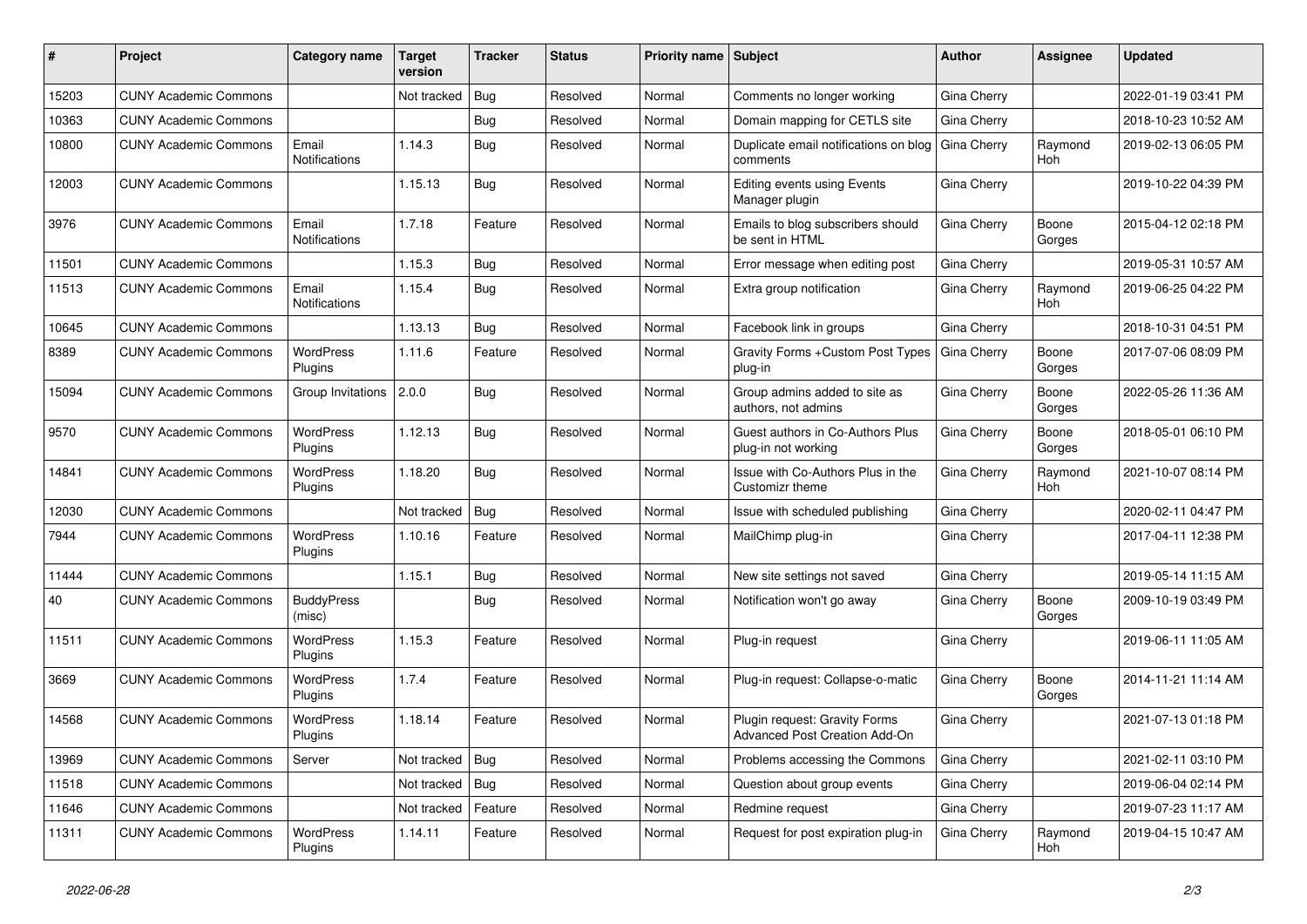| #     | Project                      | Category name               | <b>Target</b><br>version | <b>Tracker</b> | <b>Status</b> | Priority name Subject |                                                                | Author             | Assignee        | <b>Updated</b>      |
|-------|------------------------------|-----------------------------|--------------------------|----------------|---------------|-----------------------|----------------------------------------------------------------|--------------------|-----------------|---------------------|
| 15203 | <b>CUNY Academic Commons</b> |                             | Not tracked              | Bug            | Resolved      | Normal                | Comments no longer working                                     | Gina Cherry        |                 | 2022-01-19 03:41 PM |
| 10363 | <b>CUNY Academic Commons</b> |                             |                          | Bug            | Resolved      | Normal                | Domain mapping for CETLS site                                  | Gina Cherry        |                 | 2018-10-23 10:52 AM |
| 10800 | <b>CUNY Academic Commons</b> | Email<br>Notifications      | 1.14.3                   | Bug            | Resolved      | Normal                | Duplicate email notifications on blog<br>comments              | <b>Gina Cherry</b> | Raymond<br>Hoh  | 2019-02-13 06:05 PM |
| 12003 | <b>CUNY Academic Commons</b> |                             | 1.15.13                  | <b>Bug</b>     | Resolved      | Normal                | <b>Editing events using Events</b><br>Manager plugin           | Gina Cherry        |                 | 2019-10-22 04:39 PM |
| 3976  | <b>CUNY Academic Commons</b> | Email<br>Notifications      | 1.7.18                   | Feature        | Resolved      | Normal                | Emails to blog subscribers should<br>be sent in HTML           | Gina Cherry        | Boone<br>Gorges | 2015-04-12 02:18 PM |
| 11501 | <b>CUNY Academic Commons</b> |                             | 1.15.3                   | Bug            | Resolved      | Normal                | Error message when editing post                                | Gina Cherry        |                 | 2019-05-31 10:57 AM |
| 11513 | <b>CUNY Academic Commons</b> | Email<br>Notifications      | 1.15.4                   | <b>Bug</b>     | Resolved      | Normal                | Extra group notification                                       | Gina Cherry        | Raymond<br>Hoh  | 2019-06-25 04:22 PM |
| 10645 | <b>CUNY Academic Commons</b> |                             | 1.13.13                  | Bug            | Resolved      | Normal                | Facebook link in groups                                        | Gina Cherry        |                 | 2018-10-31 04:51 PM |
| 8389  | <b>CUNY Academic Commons</b> | <b>WordPress</b><br>Plugins | 1.11.6                   | Feature        | Resolved      | Normal                | Gravity Forms + Custom Post Types<br>plug-in                   | Gina Cherry        | Boone<br>Gorges | 2017-07-06 08:09 PM |
| 15094 | <b>CUNY Academic Commons</b> | Group Invitations           | 2.0.0                    | <b>Bug</b>     | Resolved      | Normal                | Group admins added to site as<br>authors, not admins           | Gina Cherry        | Boone<br>Gorges | 2022-05-26 11:36 AM |
| 9570  | <b>CUNY Academic Commons</b> | <b>WordPress</b><br>Plugins | 1.12.13                  | Bug            | Resolved      | Normal                | Guest authors in Co-Authors Plus<br>plug-in not working        | Gina Cherry        | Boone<br>Gorges | 2018-05-01 06:10 PM |
| 14841 | <b>CUNY Academic Commons</b> | <b>WordPress</b><br>Plugins | 1.18.20                  | Bug            | Resolved      | Normal                | Issue with Co-Authors Plus in the<br>Customizr theme           | Gina Cherry        | Raymond<br>Hoh  | 2021-10-07 08:14 PM |
| 12030 | <b>CUNY Academic Commons</b> |                             | Not tracked              | Bug            | Resolved      | Normal                | Issue with scheduled publishing                                | Gina Cherry        |                 | 2020-02-11 04:47 PM |
| 7944  | <b>CUNY Academic Commons</b> | WordPress<br>Plugins        | 1.10.16                  | Feature        | Resolved      | Normal                | MailChimp plug-in                                              | Gina Cherry        |                 | 2017-04-11 12:38 PM |
| 11444 | <b>CUNY Academic Commons</b> |                             | 1.15.1                   | Bug            | Resolved      | Normal                | New site settings not saved                                    | Gina Cherry        |                 | 2019-05-14 11:15 AM |
| 40    | <b>CUNY Academic Commons</b> | <b>BuddyPress</b><br>(misc) |                          | Bug            | Resolved      | Normal                | Notification won't go away                                     | Gina Cherry        | Boone<br>Gorges | 2009-10-19 03:49 PM |
| 11511 | <b>CUNY Academic Commons</b> | <b>WordPress</b><br>Plugins | 1.15.3                   | Feature        | Resolved      | Normal                | Plug-in request                                                | Gina Cherry        |                 | 2019-06-11 11:05 AM |
| 3669  | <b>CUNY Academic Commons</b> | WordPress<br>Plugins        | 1.7.4                    | Feature        | Resolved      | Normal                | Plug-in request: Collapse-o-matic                              | Gina Cherry        | Boone<br>Gorges | 2014-11-21 11:14 AM |
| 14568 | <b>CUNY Academic Commons</b> | <b>WordPress</b><br>Plugins | 1.18.14                  | Feature        | Resolved      | Normal                | Plugin request: Gravity Forms<br>Advanced Post Creation Add-On | Gina Cherry        |                 | 2021-07-13 01:18 PM |
| 13969 | <b>CUNY Academic Commons</b> | Server                      | Not tracked Bug          |                | Resolved      | Normal                | Problems accessing the Commons                                 | <b>Gina Cherry</b> |                 | 2021-02-11 03:10 PM |
| 11518 | <b>CUNY Academic Commons</b> |                             | Not tracked              | Bug            | Resolved      | Normal                | Question about group events                                    | Gina Cherry        |                 | 2019-06-04 02:14 PM |
| 11646 | <b>CUNY Academic Commons</b> |                             | Not tracked              | Feature        | Resolved      | Normal                | Redmine request                                                | Gina Cherry        |                 | 2019-07-23 11:17 AM |
| 11311 | <b>CUNY Academic Commons</b> | WordPress<br>Plugins        | 1.14.11                  | Feature        | Resolved      | Normal                | Request for post expiration plug-in                            | Gina Cherry        | Raymond<br>Hoh  | 2019-04-15 10:47 AM |